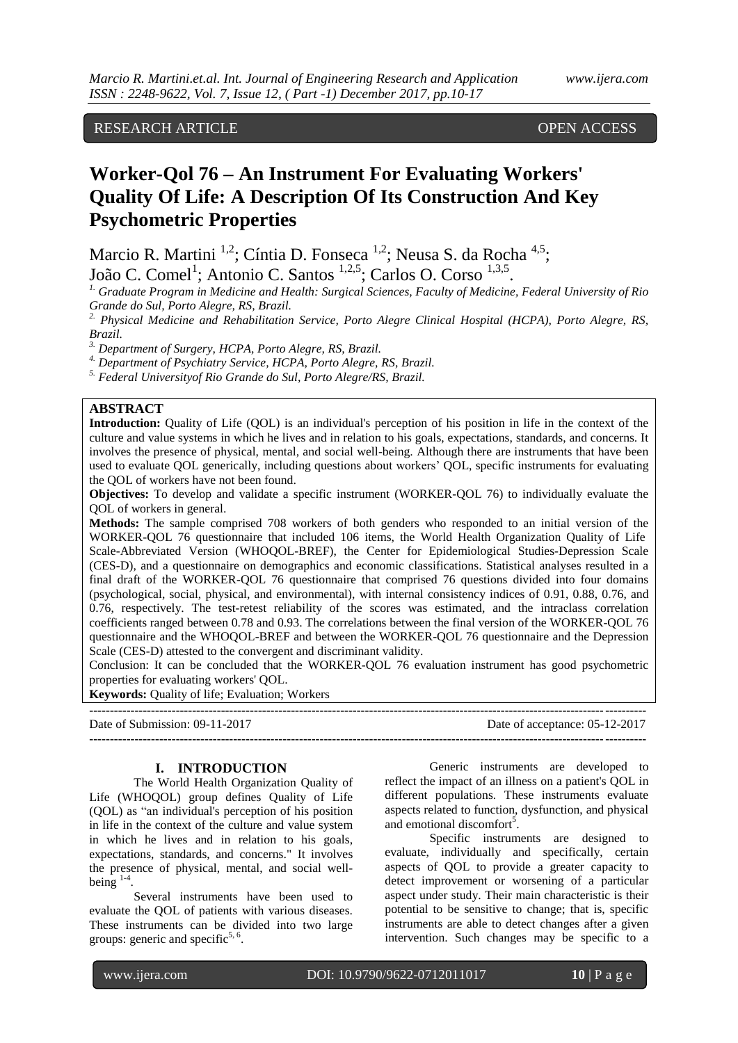# RESEARCH ARTICLE **CONSERVERS** OPEN ACCESS

# **Worker-Qol 76 – An Instrument For Evaluating Workers' Quality Of Life: A Description Of Its Construction And Key Psychometric Properties**

Marcio R. Martini<sup>1,2</sup>; Cíntia D. Fonseca<sup>1,2</sup>; Neusa S. da Rocha<sup>4,5</sup>; João C. Comel<sup>1</sup>; Antonio C. Santos <sup>1,2,5</sup>; Carlos O. Corso <sup>1,3,5</sup>.

*1. Graduate Program in Medicine and Health: Surgical Sciences, Faculty of Medicine, Federal University of Rio Grande do Sul, Porto Alegre, RS, Brazil.*

*2. Physical Medicine and Rehabilitation Service, Porto Alegre Clinical Hospital (HCPA), Porto Alegre, RS, Brazil.*

*3. Department of Surgery, HCPA, Porto Alegre, RS, Brazil.*

*4. Department of Psychiatry Service, HCPA, Porto Alegre, RS, Brazil.*

*5. Federal Universityof Rio Grande do Sul, Porto Alegre/RS, Brazil.*

## **ABSTRACT**

**Introduction:** Quality of Life (QOL) is an individual's perception of his position in life in the context of the culture and value systems in which he lives and in relation to his goals, expectations, standards, and concerns. It involves the presence of physical, mental, and social well-being. Although there are instruments that have been used to evaluate QOL generically, including questions about workers' QOL, specific instruments for evaluating the QOL of workers have not been found.

**Objectives:** To develop and validate a specific instrument (WORKER-QOL 76) to individually evaluate the QOL of workers in general.

**Methods:** The sample comprised 708 workers of both genders who responded to an initial version of the WORKER-QOL 76 questionnaire that included 106 items, the World Health Organization Quality of Life Scale-Abbreviated Version (WHOQOL-BREF), the Center for Epidemiological Studies-Depression Scale (CES-D), and a questionnaire on demographics and economic classifications. Statistical analyses resulted in a final draft of the WORKER-QOL 76 questionnaire that comprised 76 questions divided into four domains (psychological, social, physical, and environmental), with internal consistency indices of 0.91, 0.88, 0.76, and 0.76, respectively. The test-retest reliability of the scores was estimated, and the intraclass correlation coefficients ranged between 0.78 and 0.93. The correlations between the final version of the WORKER-QOL 76 questionnaire and the WHOQOL-BREF and between the WORKER-QOL 76 questionnaire and the Depression Scale (CES-D) attested to the convergent and discriminant validity.

Conclusion: It can be concluded that the WORKER-QOL 76 evaluation instrument has good psychometric properties for evaluating workers' QOL.

**---------------------------------------------------------------------------------------------------------------------------------------** Date of Submission: 09-11-2017 Date of acceptance: 05-12-2017 **---------------------------------------------------------------------------------------------------------------------------------------**

### **I. INTRODUCTION**

**Keywords:** Quality of life; Evaluation; Workers

The World Health Organization Quality of Life (WHOQOL) group defines Quality of Life (QOL) as "an individual's perception of his position in life in the context of the culture and value system in which he lives and in relation to his goals, expectations, standards, and concerns." It involves the presence of physical, mental, and social wellbeing  $1-4$ .

Several instruments have been used to evaluate the QOL of patients with various diseases. These instruments can be divided into two large groups: generic and specific<sup>5, 6</sup>.

Generic instruments are developed to reflect the impact of an illness on a patient's QOL in different populations. These instruments evaluate aspects related to function, dysfunction, and physical and emotional discomfort<sup>5</sup>.

Specific instruments are designed to evaluate, individually and specifically, certain aspects of QOL to provide a greater capacity to detect improvement or worsening of a particular aspect under study. Their main characteristic is their potential to be sensitive to change; that is, specific instruments are able to detect changes after a given intervention. Such changes may be specific to a

www.ijera.com DOI: 10.9790/9622-0712011017 **10** | P a g e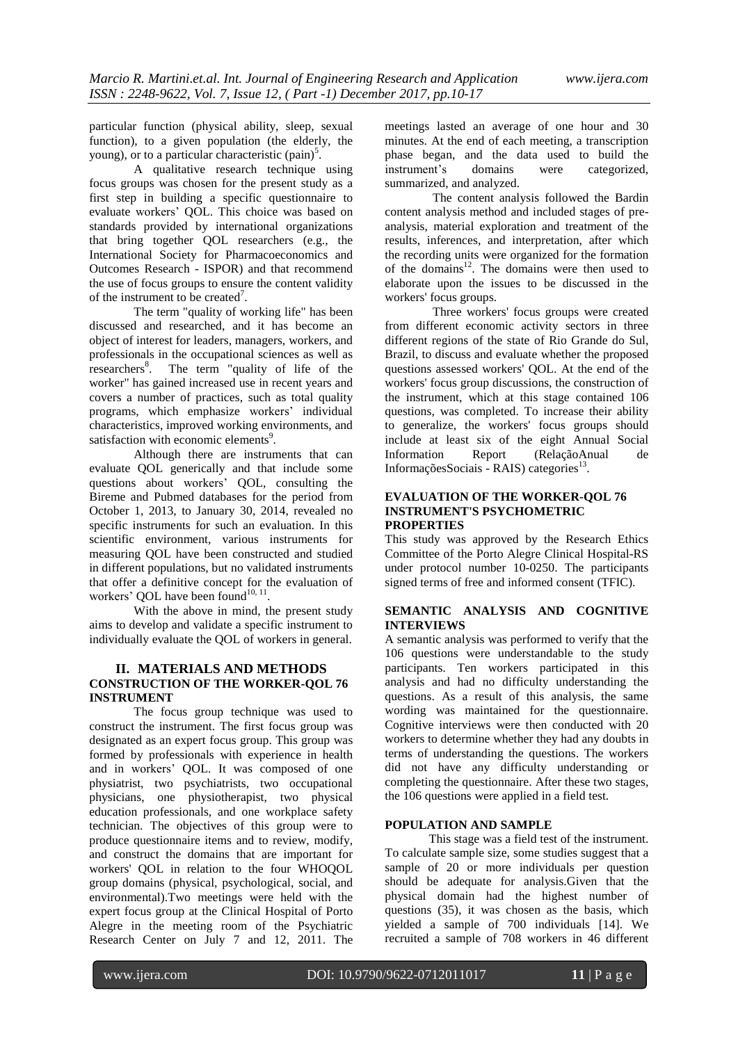particular function (physical ability, sleep, sexual function), to a given population (the elderly, the young), or to a particular characteristic  $(pain)^5$ .

A qualitative research technique using focus groups was chosen for the present study as a first step in building a specific questionnaire to evaluate workers' QOL. This choice was based on standards provided by international organizations that bring together QOL researchers (e.g., the International Society for Pharmacoeconomics and Outcomes Research - ISPOR) and that recommend the use of focus groups to ensure the content validity of the instrument to be created<sup>7</sup>.

The term "quality of working life" has been discussed and researched, and it has become an object of interest for leaders, managers, workers, and professionals in the occupational sciences as well as researchers<sup>8</sup>. The term "quality of life of the worker" has gained increased use in recent years and covers a number of practices, such as total quality programs, which emphasize workers' individual characteristics, improved working environments, and satisfaction with economic elements<sup>9</sup>.

Although there are instruments that can evaluate QOL generically and that include some questions about workers' QOL, consulting the Bireme and Pubmed databases for the period from October 1, 2013, to January 30, 2014, revealed no specific instruments for such an evaluation. In this scientific environment, various instruments for measuring QOL have been constructed and studied in different populations, but no validated instruments that offer a definitive concept for the evaluation of workers' QOL have been found $10, 11$ .

With the above in mind, the present study aims to develop and validate a specific instrument to individually evaluate the QOL of workers in general.

## **II. MATERIALS AND METHODS CONSTRUCTION OF THE WORKER-QOL 76 INSTRUMENT**

The focus group technique was used to construct the instrument. The first focus group was designated as an expert focus group. This group was formed by professionals with experience in health and in workers' QOL. It was composed of one physiatrist, two psychiatrists, two occupational physicians, one physiotherapist, two physical education professionals, and one workplace safety technician. The objectives of this group were to produce questionnaire items and to review, modify, and construct the domains that are important for workers' QOL in relation to the four WHOQOL group domains (physical, psychological, social, and environmental).Two meetings were held with the expert focus group at the Clinical Hospital of Porto Alegre in the meeting room of the Psychiatric Research Center on July 7 and 12, 2011. The meetings lasted an average of one hour and 30 minutes. At the end of each meeting, a transcription phase began, and the data used to build the instrument's domains were categorized, summarized, and analyzed.

The content analysis followed the Bardin content analysis method and included stages of preanalysis, material exploration and treatment of the results, inferences, and interpretation, after which the recording units were organized for the formation of the domains<sup>12</sup>. The domains were then used to elaborate upon the issues to be discussed in the workers' focus groups.

Three workers' focus groups were created from different economic activity sectors in three different regions of the state of Rio Grande do Sul, Brazil, to discuss and evaluate whether the proposed questions assessed workers' QOL. At the end of the workers' focus group discussions, the construction of the instrument, which at this stage contained 106 questions, was completed. To increase their ability to generalize, the workers' focus groups should include at least six of the eight Annual Social Information Report (RelaçãoAnual de InformaçõesSociais - RAIS) categories<sup>13</sup>.

#### **EVALUATION OF THE WORKER-QOL 76 INSTRUMENT'S PSYCHOMETRIC PROPERTIES**

This study was approved by the Research Ethics Committee of the Porto Alegre Clinical Hospital-RS under protocol number 10-0250. The participants signed terms of free and informed consent (TFIC).

## **SEMANTIC ANALYSIS AND COGNITIVE INTERVIEWS**

A semantic analysis was performed to verify that the 106 questions were understandable to the study participants. Ten workers participated in this analysis and had no difficulty understanding the questions. As a result of this analysis, the same wording was maintained for the questionnaire. Cognitive interviews were then conducted with 20 workers to determine whether they had any doubts in terms of understanding the questions. The workers did not have any difficulty understanding or completing the questionnaire. After these two stages, the 106 questions were applied in a field test.

# **POPULATION AND SAMPLE**

This stage was a field test of the instrument. To calculate sample size, some studies suggest that a sample of 20 or more individuals per question should be adequate for analysis.Given that the physical domain had the highest number of questions (35), it was chosen as the basis, which yielded a sample of 700 individuals [14]. We recruited a sample of 708 workers in 46 different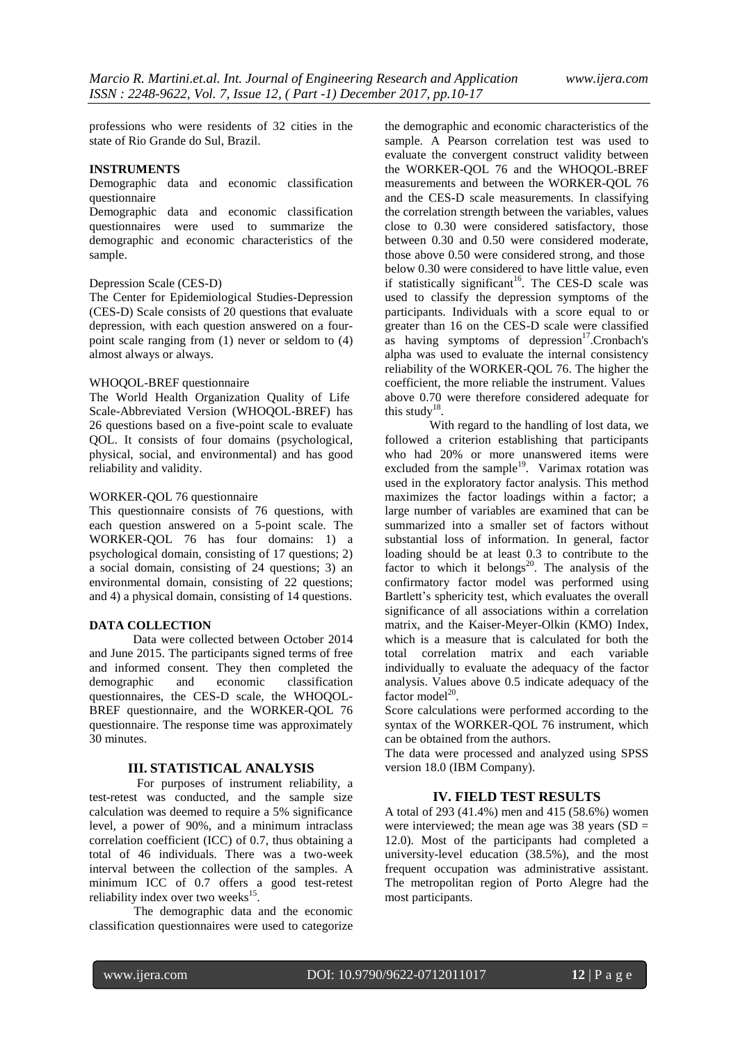professions who were residents of 32 cities in the state of Rio Grande do Sul, Brazil.

## **INSTRUMENTS**

#### Demographic data and economic classification questionnaire

Demographic data and economic classification questionnaires were used to summarize the demographic and economic characteristics of the sample.

# Depression Scale (CES-D)

The Center for Epidemiological Studies-Depression (CES-D) Scale consists of 20 questions that evaluate depression, with each question answered on a fourpoint scale ranging from (1) never or seldom to (4) almost always or always.

#### WHOQOL-BREF questionnaire

The World Health Organization Quality of Life Scale-Abbreviated Version (WHOQOL-BREF) has 26 questions based on a five-point scale to evaluate QOL. It consists of four domains (psychological, physical, social, and environmental) and has good reliability and validity.

#### WORKER-QOL 76 questionnaire

This questionnaire consists of 76 questions, with each question answered on a 5-point scale. The WORKER-QOL 76 has four domains: 1) a psychological domain, consisting of 17 questions; 2) a social domain, consisting of 24 questions; 3) an environmental domain, consisting of 22 questions; and 4) a physical domain, consisting of 14 questions.

#### **DATA COLLECTION**

Data were collected between October 2014 and June 2015. The participants signed terms of free and informed consent. They then completed the demographic and economic classification demographic and economic classification questionnaires, the CES-D scale, the WHOQOL-BREF questionnaire, and the WORKER-QOL 76 questionnaire. The response time was approximately 30 minutes.

#### **III. STATISTICAL ANALYSIS**

For purposes of instrument reliability, a test-retest was conducted, and the sample size calculation was deemed to require a 5% significance level, a power of 90%, and a minimum intraclass correlation coefficient (ICC) of 0.7, thus obtaining a total of 46 individuals. There was a two-week interval between the collection of the samples. A minimum ICC of 0.7 offers a good test-retest reliability index over two weeks<sup>15</sup>.

The demographic data and the economic classification questionnaires were used to categorize the demographic and economic characteristics of the sample. A Pearson correlation test was used to evaluate the convergent construct validity between the WORKER-QOL 76 and the WHOQOL-BREF measurements and between the WORKER-QOL 76 and the CES-D scale measurements. In classifying the correlation strength between the variables, values close to 0.30 were considered satisfactory, those between 0.30 and 0.50 were considered moderate, those above 0.50 were considered strong, and those below 0.30 were considered to have little value, even if statistically significant<sup>16</sup>. The CES-D scale was used to classify the depression symptoms of the participants. Individuals with a score equal to or greater than 16 on the CES-D scale were classified as having symptoms of depression $17$ . Cronbach's alpha was used to evaluate the internal consistency reliability of the WORKER-QOL 76. The higher the coefficient, the more reliable the instrument. Values above 0.70 were therefore considered adequate for this study<sup>18</sup>.

With regard to the handling of lost data, we followed a criterion establishing that participants who had 20% or more unanswered items were excluded from the sample<sup>19</sup>. Varimax rotation was used in the exploratory factor analysis. This method maximizes the factor loadings within a factor; a large number of variables are examined that can be summarized into a smaller set of factors without substantial loss of information. In general, factor loading should be at least 0.3 to contribute to the factor to which it belongs<sup>20</sup>. The analysis of the confirmatory factor model was performed using Bartlett's sphericity test, which evaluates the overall significance of all associations within a correlation matrix, and the Kaiser-Meyer-Olkin (KMO) Index, which is a measure that is calculated for both the total correlation matrix and each variable individually to evaluate the adequacy of the factor analysis. Values above 0.5 indicate adequacy of the factor model $^{20}$ .

Score calculations were performed according to the syntax of the WORKER-QOL 76 instrument, which can be obtained from the authors.

The data were processed and analyzed using SPSS version 18.0 (IBM Company).

# **IV. FIELD TEST RESULTS**

A total of 293 (41.4%) men and 415 (58.6%) women were interviewed; the mean age was  $38$  years (SD = 12.0). Most of the participants had completed a university-level education (38.5%), and the most frequent occupation was administrative assistant. The metropolitan region of Porto Alegre had the most participants.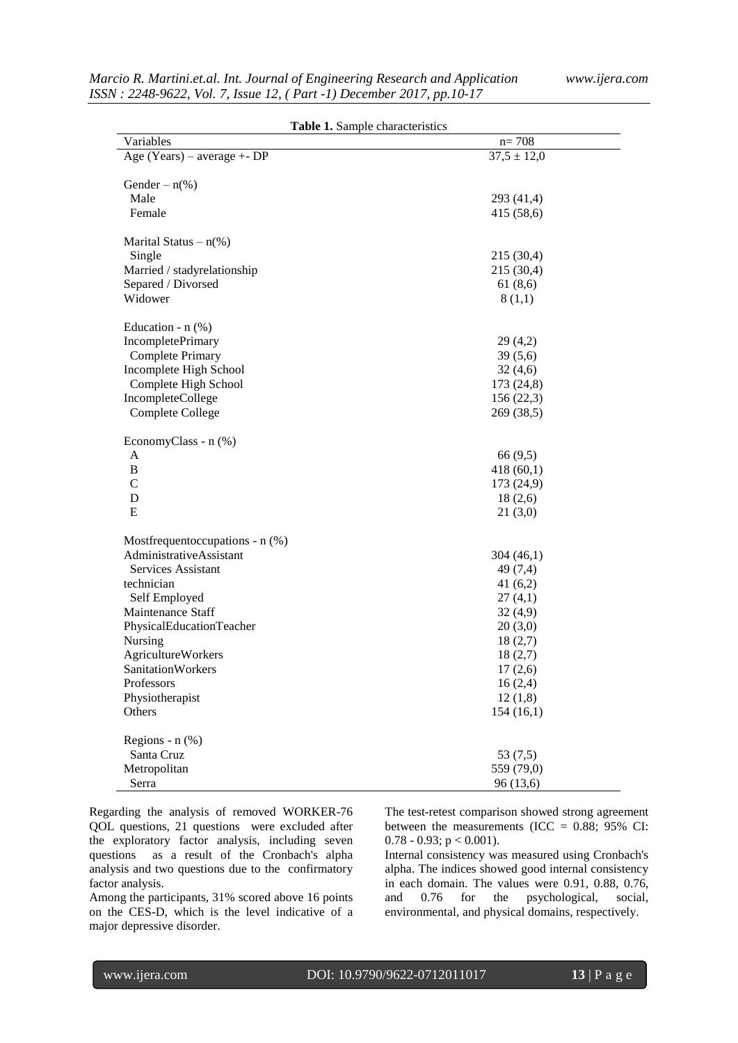| Table 1. Sample characteristics   |                 |  |  |  |
|-----------------------------------|-----------------|--|--|--|
| Variables                         | $n = 708$       |  |  |  |
| Age (Years) – average $+$ - DP    | $37,5 \pm 12,0$ |  |  |  |
|                                   |                 |  |  |  |
| Gender – $n$ (%)                  |                 |  |  |  |
| Male                              | 293 (41,4)      |  |  |  |
| Female                            | 415 (58,6)      |  |  |  |
|                                   |                 |  |  |  |
| Marital Status $- n$ (%)          |                 |  |  |  |
| Single                            | 215 (30,4)      |  |  |  |
| Married / stadyrelationship       | 215 (30,4)      |  |  |  |
| Separed / Divorsed                | 61(8,6)         |  |  |  |
| Widower                           | 8(1,1)          |  |  |  |
|                                   |                 |  |  |  |
| Education - $n$ (%)               |                 |  |  |  |
| <b>IncompletePrimary</b>          | 29(4,2)         |  |  |  |
| Complete Primary                  | 39(5,6)         |  |  |  |
| Incomplete High School            | 32(4,6)         |  |  |  |
| Complete High School              | 173 (24,8)      |  |  |  |
| IncompleteCollege                 | 156(22,3)       |  |  |  |
| Complete College                  | 269 (38,5)      |  |  |  |
|                                   |                 |  |  |  |
| EconomyClass - n (%)              |                 |  |  |  |
| A                                 | 66 (9,5)        |  |  |  |
| B                                 | 418(60,1)       |  |  |  |
| $\mathcal{C}$                     | 173 (24,9)      |  |  |  |
| D                                 | 18(2,6)         |  |  |  |
| E                                 | 21(3,0)         |  |  |  |
|                                   |                 |  |  |  |
| Mostfrequentoccupations - $n$ (%) |                 |  |  |  |
| AdministrativeAssistant           | 304(46,1)       |  |  |  |
| Services Assistant                | 49 (7,4)        |  |  |  |
| technician                        | 41 $(6,2)$      |  |  |  |
| Self Employed                     | 27(4,1)         |  |  |  |
| Maintenance Staff                 | 32(4,9)         |  |  |  |
| PhysicalEducationTeacher          | 20(3,0)         |  |  |  |
| Nursing                           | 18(2,7)         |  |  |  |
| <b>AgricultureWorkers</b>         | 18(2,7)         |  |  |  |
| SanitationWorkers                 | 17(2,6)         |  |  |  |
| Professors                        | 16(2,4)         |  |  |  |
| Physiotherapist                   | 12(1,8)         |  |  |  |
| Others                            | 154(16,1)       |  |  |  |
|                                   |                 |  |  |  |
| Regions - $n$ $%$                 |                 |  |  |  |
| Santa Cruz                        | 53(7,5)         |  |  |  |
| Metropolitan                      | 559 (79,0)      |  |  |  |
| Serra                             | 96 (13,6)       |  |  |  |

Regarding the analysis of removed WORKER-76 QOL questions, 21 questions were excluded after the exploratory factor analysis, including seven questions as a result of the Cronbach's alpha analysis and two questions due to the confirmatory factor analysis.

Among the participants, 31% scored above 16 points on the CES-D, which is the level indicative of a major depressive disorder.

The test-retest comparison showed strong agreement between the measurements (ICC =  $0.88$ ;  $95\%$  CI: 0.78 - 0.93;  $p < 0.001$ ).

Internal consistency was measured using Cronbach's alpha. The indices showed good internal consistency in each domain. The values were 0.91, 0.88, 0.76, and 0.76 for the psychological, social, environmental, and physical domains, respectively.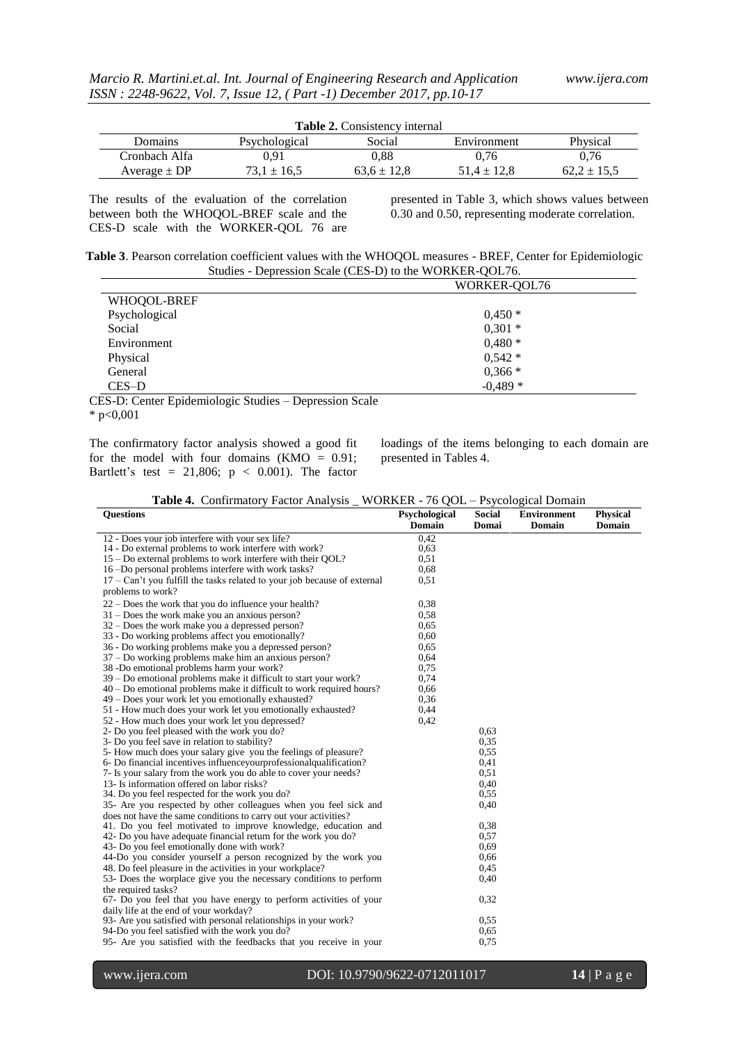| <b>Table 2.</b> Consistency internal |                 |                 |               |                 |
|--------------------------------------|-----------------|-----------------|---------------|-----------------|
| Domains                              | Psychological   | Social          | Environment   | Physical        |
| Cronbach Alfa                        | 0.91            | 0.88            | 0.76          | 0.76            |
| Average $\pm$ DP                     | $73.1 \pm 16.5$ | $63.6 \pm 12.8$ | $51.4 + 12.8$ | $62.2 \pm 15.5$ |

The results of the evaluation of the correlation between both the WHOQOL-BREF scale and the CES-D scale with the WORKER-QOL 76 are

presented in Table 3, which shows values between 0.30 and 0.50, representing moderate correlation.

| Table 3. Pearson correlation coefficient values with the WHOQOL measures - BREF, Center for Epidemiologic |  |
|-----------------------------------------------------------------------------------------------------------|--|
| Studies - Depression Scale (CES-D) to the WORKER-QOL76.                                                   |  |

|               | WORKER-OOL76 |  |  |
|---------------|--------------|--|--|
| WHOQOL-BREF   |              |  |  |
| Psychological | $0,450*$     |  |  |
| Social        | $0,301*$     |  |  |
| Environment   | $0,480*$     |  |  |
| Physical      | $0,542*$     |  |  |
| General       | $0,366*$     |  |  |
| $CES-D$       | $-0.489*$    |  |  |

CES-D: Center Epidemiologic Studies – Depression Scale

 $*$  p<0,001

The confirmatory factor analysis showed a good fit for the model with four domains  $(KMO = 0.91)$ ; Bartlett's test = 21,806;  $p < 0.001$ ). The factor

loadings of the items belonging to each domain are presented in Tables 4.

| <b>Table 4.</b> Confirmatory Factor Analysis _ WORKER - 76 QOL – Psycological Domain |  |  |
|--------------------------------------------------------------------------------------|--|--|
|                                                                                      |  |  |

| <b>Questions</b>                                                           | Psychological | <b>Social</b> | <b>Environment</b> | <b>Physical</b> |
|----------------------------------------------------------------------------|---------------|---------------|--------------------|-----------------|
|                                                                            | <b>Domain</b> | Domai         | <b>Domain</b>      | <b>Domain</b>   |
| 12 - Does your job interfere with your sex life?                           | 0.42          |               |                    |                 |
| 14 - Do external problems to work interfere with work?                     | 0.63          |               |                    |                 |
| 15 – Do external problems to work interfere with their QOL?                | 0.51          |               |                    |                 |
| 16 -Do personal problems interfere with work tasks?                        | 0.68          |               |                    |                 |
| $17 - Can't you fulfill the tasks related to your job because of external$ | 0.51          |               |                    |                 |
| problems to work?                                                          |               |               |                    |                 |
| $22 - Does the work that you do influence your health?$                    | 0.38          |               |                    |                 |
| $31 - Does$ the work make you an anxious person?                           | 0.58          |               |                    |                 |
| $32 - Does the work make you a depressed person?$                          | 0.65          |               |                    |                 |
| 33 - Do working problems affect you emotionally?                           | 0.60          |               |                    |                 |
| 36 - Do working problems make you a depressed person?                      | 0.65          |               |                    |                 |
| 37 – Do working problems make him an anxious person?                       | 0.64          |               |                    |                 |
| 38 -Do emotional problems harm your work?                                  | 0.75          |               |                    |                 |
| 39 – Do emotional problems make it difficult to start your work?           | 0.74          |               |                    |                 |
| $40 - Do$ emotional problems make it difficult to work required hours?     | 0.66          |               |                    |                 |
| 49 – Does your work let you emotionally exhausted?                         | 0,36          |               |                    |                 |
| 51 - How much does your work let you emotionally exhausted?                | 0.44          |               |                    |                 |
| 52 - How much does your work let you depressed?                            | 0.42          |               |                    |                 |
| 2- Do you feel pleased with the work you do?                               |               | 0.63          |                    |                 |
| 3- Do you feel save in relation to stability?                              |               | 0.35          |                    |                 |
| 5- How much does your salary give you the feelings of pleasure?            |               | 0.55          |                    |                 |
| 6- Do financial incentives influenceyourprofessionalqualification?         |               | 0.41          |                    |                 |
| 7- Is your salary from the work you do able to cover your needs?           |               | 0.51          |                    |                 |
| 13- Is information offered on labor risks?                                 |               | 0,40          |                    |                 |
| 34. Do you feel respected for the work you do?                             |               | 0.55          |                    |                 |
| 35- Are you respected by other colleagues when you feel sick and           |               | 0,40          |                    |                 |
| does not have the same conditions to carry out your activities?            |               |               |                    |                 |
| 41. Do you feel motivated to improve knowledge, education and              |               | 0.38          |                    |                 |
| 42- Do you have adequate financial return for the work you do?             |               | 0,57          |                    |                 |
| 43- Do you feel emotionally done with work?                                |               | 0.69          |                    |                 |
| 44-Do you consider yourself a person recognized by the work you            |               | 0,66          |                    |                 |
| 48. Do feel pleasure in the activities in your workplace?                  |               | 0.45          |                    |                 |
| 53- Does the worplace give you the necessary conditions to perform         |               | 0,40          |                    |                 |
| the required tasks?                                                        |               |               |                    |                 |
| 67- Do you feel that you have energy to perform activities of your         |               | 0,32          |                    |                 |
| daily life at the end of your workday?                                     |               |               |                    |                 |
| 93- Are you satisfied with personal relationships in your work?            |               | 0,55          |                    |                 |
| 94-Do you feel satisfied with the work you do?                             |               | 0.65          |                    |                 |
| 95- Are you satisfied with the feedbacks that you receive in your          |               | 0,75          |                    |                 |
|                                                                            |               |               |                    |                 |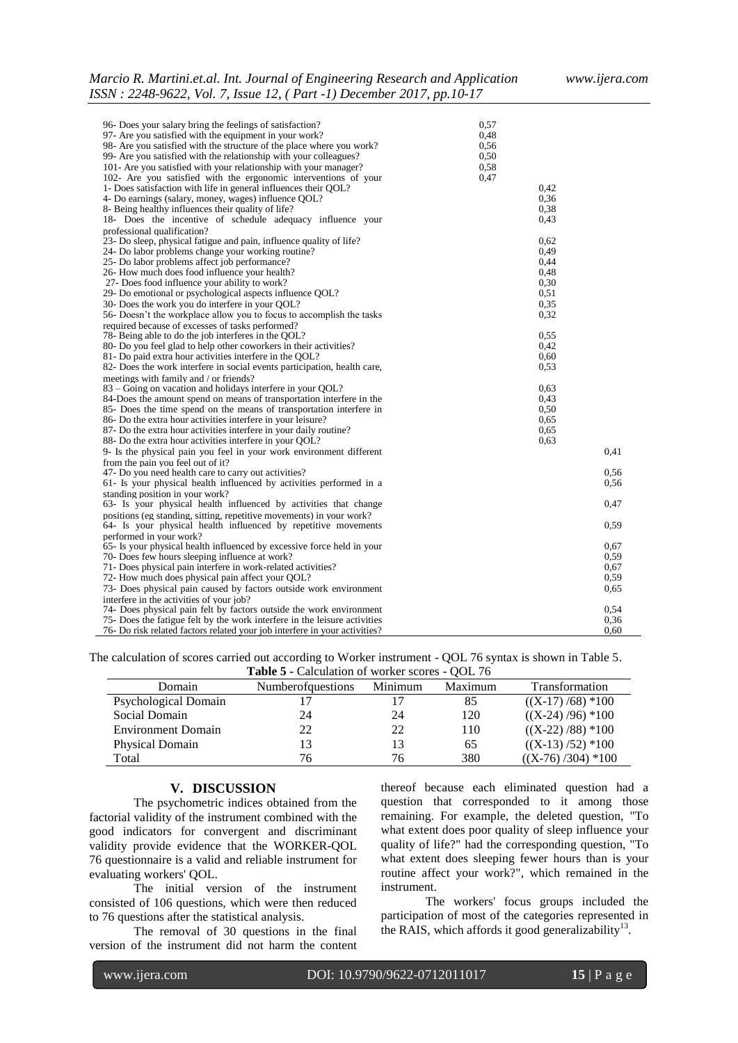| 96- Does your salary bring the feelings of satisfaction?                   | 0,57 |              |
|----------------------------------------------------------------------------|------|--------------|
| 97- Are you satisfied with the equipment in your work?                     | 0,48 |              |
| 98- Are vou satisfied with the structure of the place where you work?      | 0,56 |              |
| 99- Are you satisfied with the relationship with your colleagues?          | 0,50 |              |
| 101- Are you satisfied with your relationship with your manager?           | 0,58 |              |
| 102- Are you satisfied with the ergonomic interventions of your            | 0.47 |              |
| 1- Does satisfaction with life in general influences their QOL?            |      | 0.42         |
| 4- Do earnings (salary, money, wages) influence QOL?                       |      | 0.36         |
| 8- Being healthy influences their quality of life?                         |      | 0.38         |
| 18- Does the incentive of schedule adequacy influence your                 |      | 0,43         |
| professional qualification?                                                |      |              |
| 23- Do sleep, physical fatigue and pain, influence quality of life?        |      | 0.62         |
| 24- Do labor problems change your working routine?                         |      | 0.49         |
| 25- Do labor problems affect job performance?                              |      | 0.44         |
| 26- How much does food influence your health?                              |      |              |
| 27- Does food influence your ability to work?                              |      | 0.48<br>0.30 |
|                                                                            |      | 0.51         |
| 29- Do emotional or psychological aspects influence OOL?                   |      |              |
| 30- Does the work you do interfere in your QOL?                            |      | 0.35         |
| 56- Doesn't the workplace allow you to focus to accomplish the tasks       |      | 0,32         |
| required because of excesses of tasks performed?                           |      |              |
| 78- Being able to do the job interferes in the QOL?                        |      | 0.55         |
| 80- Do you feel glad to help other coworkers in their activities?          |      | 0,42         |
| 81- Do paid extra hour activities interfere in the QOL?                    |      | 0.60         |
| 82- Does the work interfere in social events participation, health care,   |      | 0.53         |
| meetings with family and / or friends?                                     |      |              |
| 83 – Going on vacation and holidays interfere in your QOL?                 |      | 0.63         |
| 84-Does the amount spend on means of transportation interfere in the       |      | 0.43         |
| 85- Does the time spend on the means of transportation interfere in        |      | 0.50         |
| 86- Do the extra hour activities interfere in your leisure?                |      | 0.65         |
| 87- Do the extra hour activities interfere in your daily routine?          |      | 0.65         |
| 88- Do the extra hour activities interfere in your OOL?                    |      | 0.63         |
| 9- Is the physical pain you feel in your work environment different        |      | 0.41         |
| from the pain you feel out of it?                                          |      |              |
| 47- Do you need health care to carry out activities?                       |      | 0.56         |
| 61- Is your physical health influenced by activities performed in a        |      | 0.56         |
| standing position in your work?                                            |      |              |
| 63- Is your physical health influenced by activities that change           |      | 0,47         |
| positions (eg standing, sitting, repetitive movements) in your work?       |      |              |
| 64- Is your physical health influenced by repetitive movements             |      | 0.59         |
| performed in your work?                                                    |      |              |
| 65- Is your physical health influenced by excessive force held in your     |      | 0.67         |
| 70- Does few hours sleeping influence at work?                             |      | 0.59         |
| 71- Does physical pain interfere in work-related activities?               |      | 0.67         |
| 72- How much does physical pain affect your QOL?                           |      | 0.59         |
| 73- Does physical pain caused by factors outside work environment          |      | 0.65         |
| interfere in the activities of your job?                                   |      |              |
| 74- Does physical pain felt by factors outside the work environment        |      | 0,54         |
| 75- Does the fatigue felt by the work interfere in the leisure activities  |      | 0.36         |
| 76- Do risk related factors related your job interfere in your activities? |      | 0,60         |

The calculation of scores carried out according to Worker instrument - QOL 76 syntax is shown in Table 5. **Table 5 -** Calculation of worker scores - QOL 76

| <b>Table 5 - Calculation of WOIKER SCOLES - OOL</b> 70 |                          |         |         |                     |
|--------------------------------------------------------|--------------------------|---------|---------|---------------------|
| Domain                                                 | <b>Numberofquestions</b> | Minimum | Maximum | Transformation      |
| Psychological Domain                                   | 17                       |         | 85      | $((X-17)/68) * 100$ |
| Social Domain                                          | 24                       | 24      | 120     | $((X-24)/96)$ *100  |
| <b>Environment Domain</b>                              | 22                       | 22      | 110     | $((X-22)/88) *100$  |
| Physical Domain                                        | 13                       | 13      | 65      | $((X-13)/52)$ *100  |
| Total                                                  | 76                       | 76      | 380     | $((X-76)/304)$ *100 |

#### **V. DISCUSSION**

The psychometric indices obtained from the factorial validity of the instrument combined with the good indicators for convergent and discriminant validity provide evidence that the WORKER-QOL 76 questionnaire is a valid and reliable instrument for evaluating workers' QOL.

The initial version of the instrument consisted of 106 questions, which were then reduced to 76 questions after the statistical analysis.

The removal of 30 questions in the final version of the instrument did not harm the content

thereof because each eliminated question had a question that corresponded to it among those remaining. For example, the deleted question, "To what extent does poor quality of sleep influence your quality of life?" had the corresponding question, "To what extent does sleeping fewer hours than is your routine affect your work?", which remained in the instrument.

The workers' focus groups included the participation of most of the categories represented in the RAIS, which affords it good generalizability<sup>13</sup>.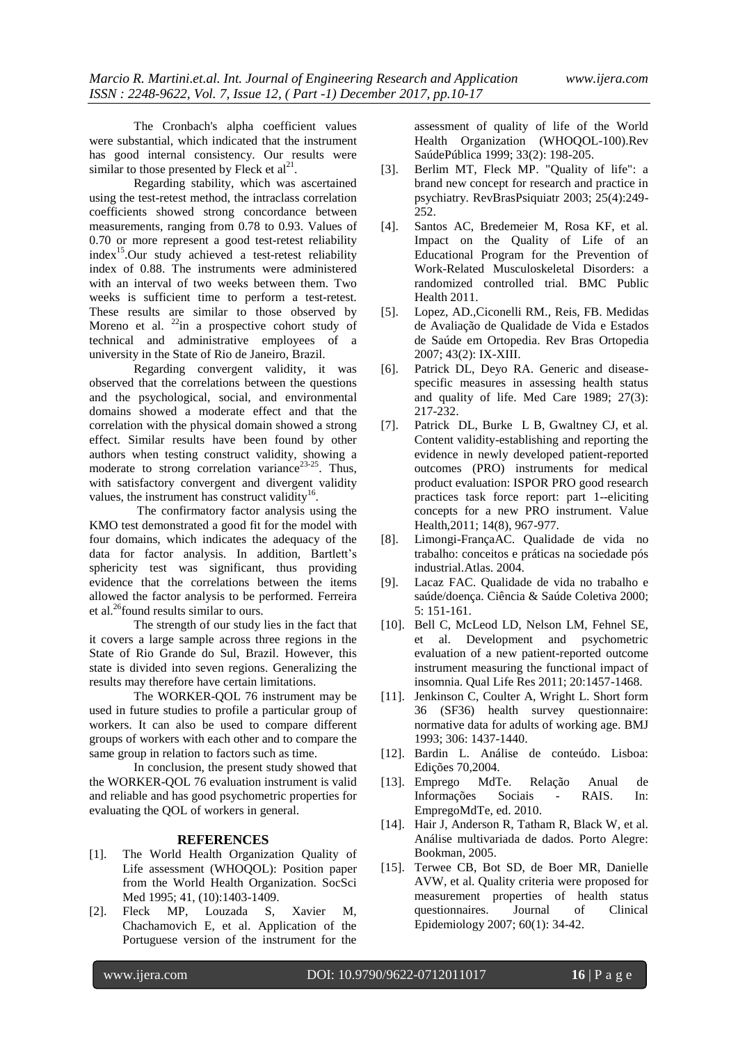The Cronbach's alpha coefficient values were substantial, which indicated that the instrument has good internal consistency. Our results were similar to those presented by Fleck et  $al<sup>21</sup>$ .

Regarding stability, which was ascertained using the test-retest method, the intraclass correlation coefficients showed strong concordance between measurements, ranging from 0.78 to 0.93. Values of 0.70 or more represent a good test-retest reliability  $index<sup>15</sup>. Our study achieved a test-retest reliability$ index of 0.88. The instruments were administered with an interval of two weeks between them. Two weeks is sufficient time to perform a test-retest. These results are similar to those observed by Moreno et al.  $^{22}$ in a prospective cohort study of technical and administrative employees of a university in the State of Rio de Janeiro, Brazil.

Regarding convergent validity, it was observed that the correlations between the questions and the psychological, social, and environmental domains showed a moderate effect and that the correlation with the physical domain showed a strong effect. Similar results have been found by other authors when testing construct validity, showing a moderate to strong correlation variance<sup>23-25</sup>. Thus, with satisfactory convergent and divergent validity values, the instrument has construct validity<sup>16</sup>.

The confirmatory factor analysis using the KMO test demonstrated a good fit for the model with four domains, which indicates the adequacy of the data for factor analysis. In addition, Bartlett's sphericity test was significant, thus providing evidence that the correlations between the items allowed the factor analysis to be performed. Ferreira et al.<sup>26</sup>found results similar to ours.

The strength of our study lies in the fact that it covers a large sample across three regions in the State of Rio Grande do Sul, Brazil. However, this state is divided into seven regions. Generalizing the results may therefore have certain limitations.

The WORKER-QOL 76 instrument may be used in future studies to profile a particular group of workers. It can also be used to compare different groups of workers with each other and to compare the same group in relation to factors such as time.

In conclusion, the present study showed that the WORKER-QOL 76 evaluation instrument is valid and reliable and has good psychometric properties for evaluating the QOL of workers in general.

#### **REFERENCES**

- [1]. The World Health Organization Quality of Life assessment (WHOQOL): Position paper from the World Health Organization. SocSci Med 1995; 41, (10):1403-1409.
- [2]. Fleck MP, Louzada S, Xavier M, Chachamovich E, et al. Application of the Portuguese version of the instrument for the

assessment of quality of life of the World Health Organization (WHOQOL-100).Rev SaúdePública 1999; 33(2): 198-205.

- [3]. Berlim MT, Fleck MP. "Quality of life": a brand new concept for research and practice in psychiatry. RevBrasPsiquiatr 2003; 25(4):249- 252.
- [4]. Santos AC, Bredemeier M, Rosa KF, et al. Impact on the Quality of Life of an Educational Program for the Prevention of Work-Related Musculoskeletal Disorders: a randomized controlled trial. BMC Public Health 2011.
- [5]. Lopez, AD.,Ciconelli RM., Reis, FB. Medidas de Avaliação de Qualidade de Vida e Estados de Saúde em Ortopedia. Rev Bras Ortopedia 2007; 43(2): IX-XIII.
- [6]. Patrick DL, Deyo RA. Generic and diseasespecific measures in assessing health status and quality of life. Med Care 1989; 27(3): 217-232.
- [7]. Patrick DL, Burke L B, Gwaltney CJ, et al. Content validity-establishing and reporting the evidence in newly developed patient-reported outcomes (PRO) instruments for medical product evaluation: ISPOR PRO good research practices task force report: part 1--eliciting concepts for a new PRO instrument. Value Health,2011; 14(8), 967-977.
- [8]. Limongi-FrançaAC. Qualidade de vida no trabalho: conceitos e práticas na sociedade pós industrial.Atlas. 2004.
- [9]. Lacaz FAC. Qualidade de vida no trabalho e saúde/doença. Ciência & Saúde Coletiva 2000; 5: 151-161.
- [10]. Bell C, McLeod LD, Nelson LM, Fehnel SE, et al. Development and psychometric evaluation of a new patient-reported outcome instrument measuring the functional impact of insomnia. Qual Life Res 2011; 20:1457-1468.
- [11]. Jenkinson C, Coulter A, Wright L. Short form 36 (SF36) health survey questionnaire: normative data for adults of working age. BMJ 1993; 306: 1437-1440.
- [12]. Bardin L. Análise de conteúdo. Lisboa: Edições 70,2004.
- [13]. Emprego MdTe. Relação Anual de Informações Sociais - RAIS. In: EmpregoMdTe, ed. 2010.
- [14]. Hair J, Anderson R, Tatham R, Black W, et al. Análise multivariada de dados. Porto Alegre: Bookman, 2005.
- [15]. Terwee CB, Bot SD, de Boer MR, Danielle AVW, et al. Quality criteria were proposed for measurement properties of health status questionnaires. Journal of Clinical Epidemiology 2007; 60(1): 34-42.